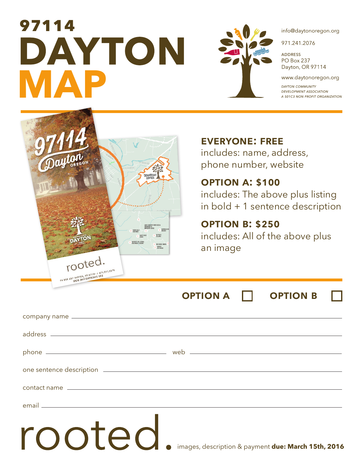# **MAP 97114<br>DAYTON**



info@daytonoregon.org

971.241.2076

**ADDRESS** PO Box 237 Dayton, OR 97114

www.daytonoregon.org

**DAYTON COMMUNITY DEVELOPMENT ASSOCIATION** A 501C3 NON PROFIT ORGANIZATION



# **everyone: free**

includes: name, address, phone number, website

# **option a: \$100**

includes: The above plus listing in bold + 1 sentence description

# **option b: \$250**

includes: All of the above plus an image

**OPTION A COPTION B** 

| rooted | images, description & payment due: March 15th, 2016 |
|--------|-----------------------------------------------------|